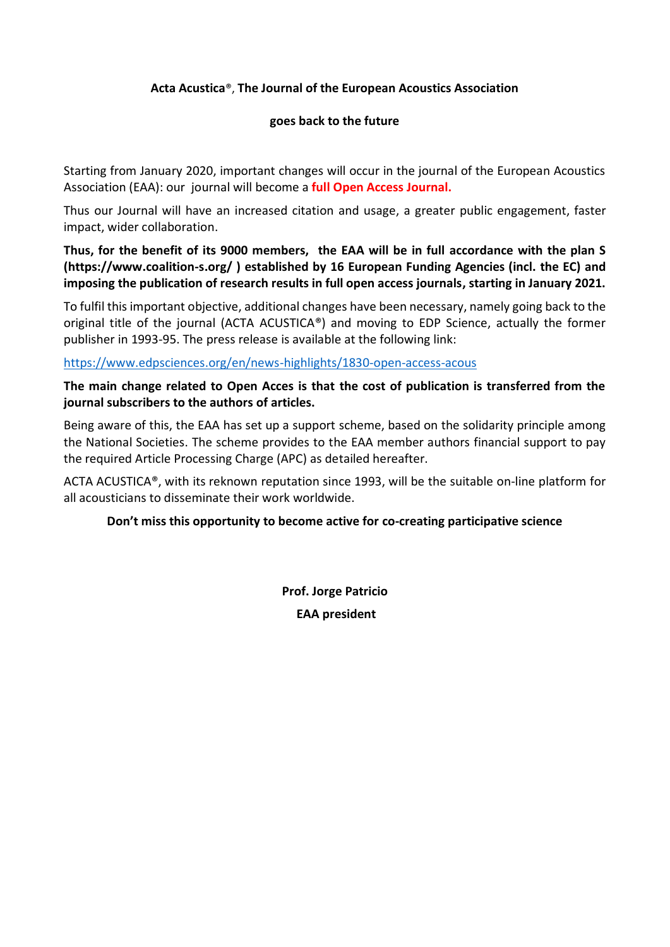## **Acta Acustica**®, **The Journal of the European Acoustics Association**

## **goes back to the future**

Starting from January 2020, important changes will occur in the journal of the European Acoustics Association (EAA): our journal will become a **full Open Access Journal.**

Thus our Journal will have an increased citation and usage, a greater public engagement, faster impact, wider collaboration.

**Thus, for the benefit of its 9000 members, the EAA will be in full accordance with the plan S (https://www.coalition-s.org/ ) established by 16 European Funding Agencies (incl. the EC) and imposing the publication of research results in full open access journals, starting in January 2021.**

To fulfil this important objective, additional changes have been necessary, namely going back to the original title of the journal (ACTA ACUSTICA®) and moving to EDP Science, actually the former publisher in 1993-95. The press release is available at the following link:

<https://www.edpsciences.org/en/news-highlights/1830-open-access-acous>

**The main change related to Open Acces is that the cost of publication is transferred from the journal subscribers to the authors of articles.**

Being aware of this, the EAA has set up a support scheme, based on the solidarity principle among the National Societies. The scheme provides to the EAA member authors financial support to pay the required Article Processing Charge (APC) as detailed hereafter.

ACTA ACUSTICA®, with its reknown reputation since 1993, will be the suitable on-line platform for all acousticians to disseminate their work worldwide.

**Don't miss this opportunity to become active for co-creating participative science**

**Prof. Jorge Patricio EAA president**